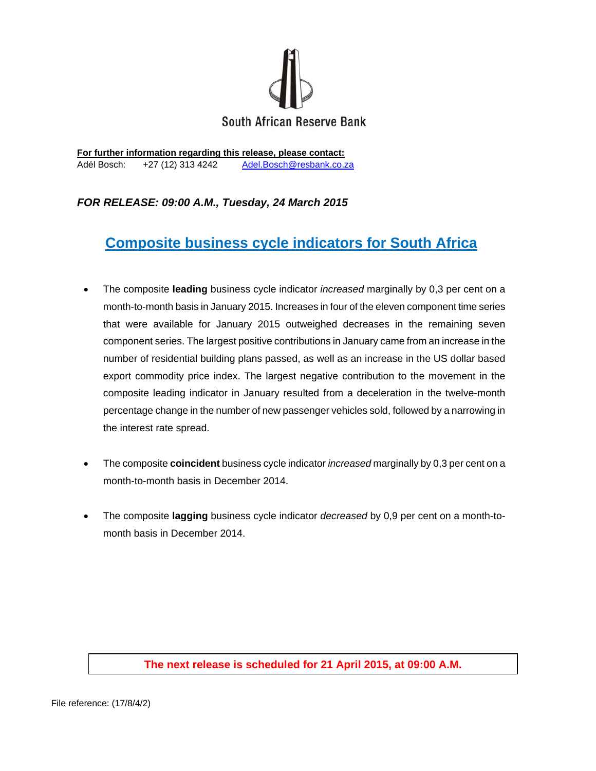

**For further information regarding this release, please contact:**  Adél Bosch: +27 (12) 313 4242 Adel.Bosch@resbank.co.za

## *FOR RELEASE: 09:00 A.M., Tuesday, 24 March 2015*

# **Composite business cycle indicators for South Africa**

- The composite **leading** business cycle indicator *increased* marginally by 0,3 per cent on a month-to-month basis in January 2015. Increases in four of the eleven component time series that were available for January 2015 outweighed decreases in the remaining seven component series. The largest positive contributions in January came from an increase in the number of residential building plans passed, as well as an increase in the US dollar based export commodity price index. The largest negative contribution to the movement in the composite leading indicator in January resulted from a deceleration in the twelve-month percentage change in the number of new passenger vehicles sold, followed by a narrowing in the interest rate spread.
- The composite **coincident** business cycle indicator *increased* marginally by 0,3 per cent on a month-to-month basis in December 2014.
- The composite **lagging** business cycle indicator *decreased* by 0,9 per cent on a month-tomonth basis in December 2014.

## **The next release is scheduled for 21 April 2015, at 09:00 A.M.**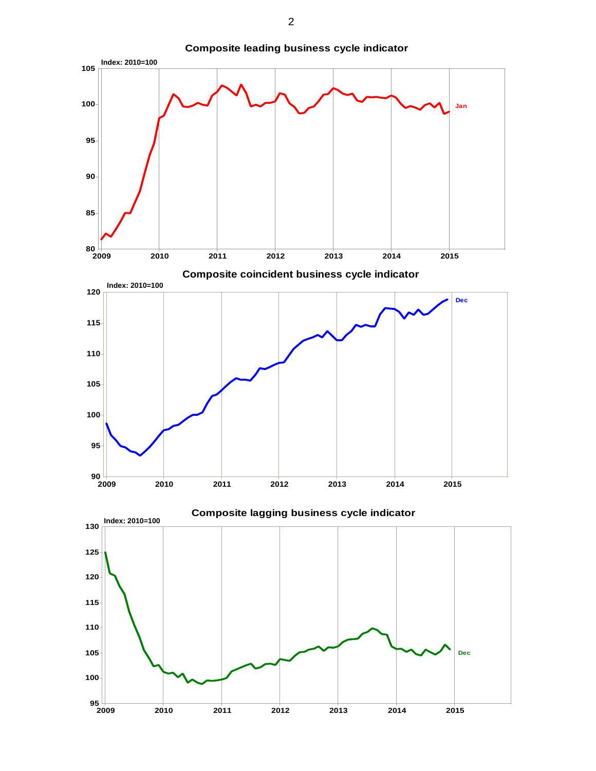